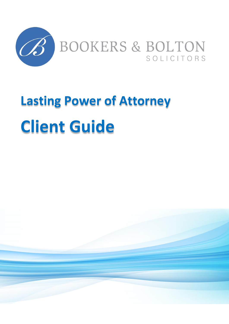

# **Lasting Power of Attorney Client Guide**

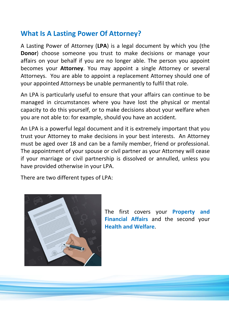## **What Is A Lasting Power Of Attorney?**

A Lasting Power of Attorney (**LPA**) is a legal document by which you (the **Donor**) choose someone you trust to make decisions or manage your affairs on your behalf if you are no longer able. The person you appoint becomes your **Attorney**. You may appoint a single Attorney or several Attorneys. You are able to appoint a replacement Attorney should one of your appointed Attorneys be unable permanently to fulfil that role.

An LPA is particularly useful to ensure that your affairs can continue to be managed in circumstances where you have lost the physical or mental capacity to do this yourself, or to make decisions about your welfare when you are not able to: for example, should you have an accident.

An LPA is a powerful legal document and it is extremely important that you trust your Attorney to make decisions in your best interests. An Attorney must be aged over 18 and can be a family member, friend or professional. The appointment of your spouse or civil partner as your Attorney will cease if your marriage or civil partnership is dissolved or annulled, unless you have provided otherwise in your LPA.

There are two different types of LPA:



The first covers your **Property and Financial Affairs** and the second your **Health and Welfare**.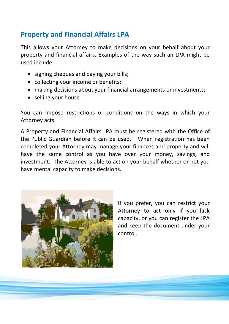## **Property and Financial Affairs LPA**

This allows your Attorney to make decisions on your behalf about your property and financial affairs. Examples of the way such an LPA might be used include:

- signing cheques and paying your bills;
- collecting your income or benefits;
- making decisions about your financial arrangements or investments;
- selling your house.

You can impose restrictions or conditions on the ways in which your Attorney acts.

A Property and Financial Affairs LPA must be registered with the Office of the Public Guardian before it can be used. When registration has been completed your Attorney may manage your finances and property and will have the same control as you have over your money, savings, and investment. The Attorney is able to act on your behalf whether or not you have mental capacity to make decisions.



If you prefer, you can restrict your Attorney to act only if you lack capacity, or you can register the LPA and keep the document under your control.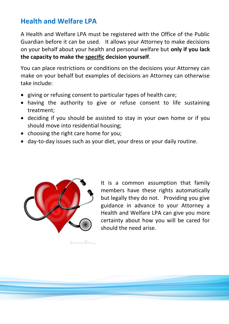## **Health and Welfare LPA**

A Health and Welfare LPA must be registered with the Office of the Public Guardian before it can be used. It allows your Attorney to make decisions on your behalf about your health and personal welfare but **only if you lack the capacity to make the specific decision yourself**.

You can place restrictions or conditions on the decisions your Attorney can make on your behalf but examples of decisions an Attorney can otherwise take include:

- giving or refusing consent to particular types of health care;
- having the authority to give or refuse consent to life sustaining treatment;
- deciding if you should be assisted to stay in your own home or if you should move into residential housing;
- choosing the right care home for you;
- day-to-day issues such as your diet, your dress or your daily routine.



dreamraims.com

It is a common assumption that family members have these rights automatically but legally they do not. Providing you give guidance in advance to your Attorney a Health and Welfare LPA can give you more certainty about how you will be cared for should the need arise.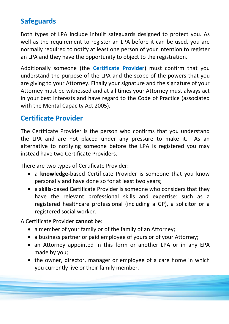# **Safeguards**

Both types of LPA include inbuilt safeguards designed to protect you. As well as the requirement to register an LPA before it can be used, you are normally required to notify at least one person of your intention to register an LPA and they have the opportunity to object to the registration.

Additionally someone (the **Certificate Provider**) must confirm that you understand the purpose of the LPA and the scope of the powers that you are giving to your Attorney. Finally your signature and the signature of your Attorney must be witnessed and at all times your Attorney must always act in your best interests and have regard to the Code of Practice (associated with the Mental Capacity Act 2005).

## **Certificate Provider**

The Certificate Provider is the person who confirms that you understand the LPA and are not placed under any pressure to make it. As an alternative to notifying someone before the LPA is registered you may instead have two Certificate Providers.

There are two types of Certificate Provider:

- a **knowledge-**based Certificate Provider is someone that you know personally and have done so for at least two years;
- a **skills**-based Certificate Provider is someone who considers that they have the relevant professional skills and expertise: such as a registered healthcare professional (including a GP), a solicitor or a registered social worker.

A Certificate Provider **cannot** be:

- a member of your family or of the family of an Attorney;
- a business partner or paid employee of yours or of your Attorney;
- an Attorney appointed in this form or another LPA or in any EPA made by you;
- the owner, director, manager or employee of a care home in which you currently live or their family member.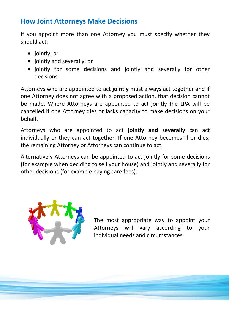### **How Joint Attorneys Make Decisions**

If you appoint more than one Attorney you must specify whether they should act:

- jointly; or
- jointly and severally; or
- jointly for some decisions and jointly and severally for other decisions.

Attorneys who are appointed to act **jointly** must always act together and if one Attorney does not agree with a proposed action, that decision cannot be made. Where Attorneys are appointed to act jointly the LPA will be cancelled if one Attorney dies or lacks capacity to make decisions on your behalf.

Attorneys who are appointed to act **jointly and severally** can act individually or they can act together. If one Attorney becomes ill or dies, the remaining Attorney or Attorneys can continue to act.

Alternatively Attorneys can be appointed to act jointly for some decisions (for example when deciding to sell your house) and jointly and severally for other decisions (for example paying care fees).



The most appropriate way to appoint your Attorneys will vary according to your individual needs and circumstances.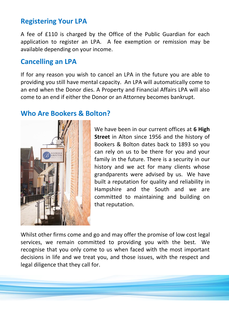### **Registering Your LPA**

A fee of £110 is charged by the Office of the Public Guardian for each application to register an LPA. A fee exemption or remission may be available depending on your income.

#### **Cancelling an LPA**

If for any reason you wish to cancel an LPA in the future you are able to providing you still have mental capacity. An LPA will automatically come to an end when the Donor dies. A Property and Financial Affairs LPA will also come to an end if either the Donor or an Attorney becomes bankrupt.

#### **Who Are Bookers & Bolton?**



We have been in our current offices at **6 High Street** in Alton since 1956 and the history of Bookers & Bolton dates back to 1893 so you can rely on us to be there for you and your family in the future. There is a security in our history and we act for many clients whose grandparents were advised by us. We have built a reputation for quality and reliability in Hampshire and the South and we are committed to maintaining and building on that reputation.

Whilst other firms come and go and may offer the promise of low cost legal services, we remain committed to providing you with the best. We recognise that you only come to us when faced with the most important decisions in life and we treat you, and those issues, with the respect and legal diligence that they call for.